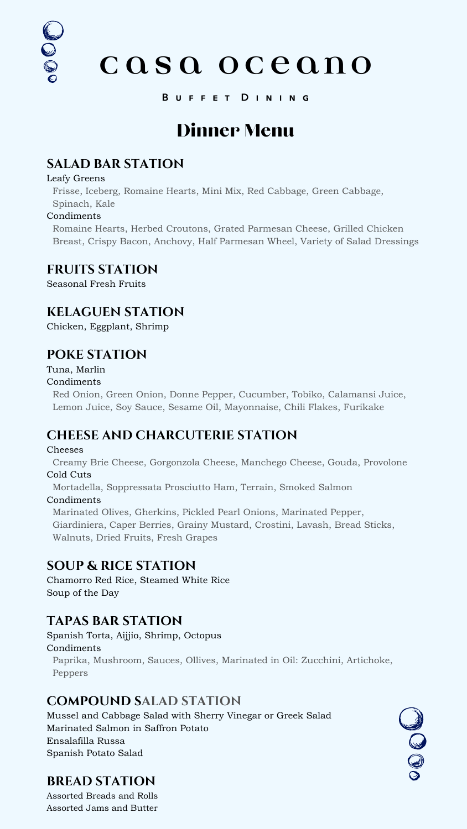# casa oceano

#### BUFFET DINING

## **SALAD BAR STATION**

#### Leafy Greens

DOOF

Frisse, Iceberg, Romaine Hearts, Mini Mix, Red Cabbage, Green Cabbage, Spinach, Kale

#### Condiments

Romaine Hearts, Herbed Croutons, Grated Parmesan Cheese, Grilled Chicken Breast, Crispy Bacon, Anchovy, Half Parmesan Wheel, Variety of Salad Dressings

#### **FRUITS STATION**

Seasonal Fresh Fruits

### **KELAGUEN STATION**

Chicken, Eggplant, Shrimp

## **POKE STATION**

#### Tuna, Marlin

#### Condiments

Red Onion, Green Onion, Donne Pepper, Cucumber, Tobiko, Calamansi Juice, Lemon Juice, Soy Sauce, Sesame Oil, Mayonnaise, Chili Flakes, Furikake

## **CHEESE AND CHARCUTERIE STATION**

#### Cheeses

Creamy Brie Cheese, Gorgonzola Cheese, Manchego Cheese, Gouda, Provolone Cold Cuts

Mortadella, Soppressata Prosciutto Ham, Terrain, Smoked Salmon

#### Condiments

Marinated Olives, Gherkins, Pickled Pearl Onions, Marinated Pepper,

Giardiniera, Caper Berries, Grainy Mustard, Crostini, Lavash, Bread Sticks, Walnuts, Dried Fruits, Fresh Grapes

#### **SOUP & RICE STATION**

Chamorro Red Rice, Steamed White Rice Soup of the Day

## **TAPAS BAR STATION**

Spanish Torta, Aijjio, Shrimp, Octopus

Condiments

Paprika, Mushroom, Sauces, Ollives, Marinated in Oil: Zucchini, Artichoke, Peppers

#### **COMPOUND SALAD STATION**

Mussel and Cabbage Salad with Sherry Vinegar or Greek Salad Marinated Salmon in Saffron Potato Ensalafilla Russa Spanish Potato Salad

## **BREAD STATION**

Assorted Breads and Rolls Assorted Jams and Butter



## Dinner Menu